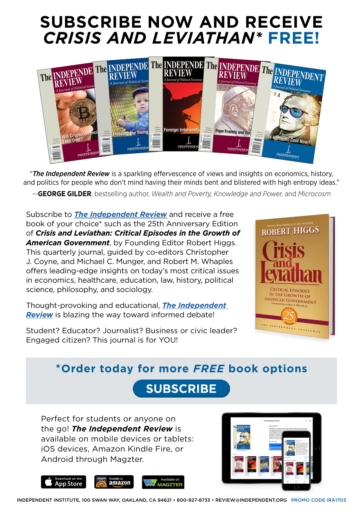## **SUBSCRIBE NOW AND RECEIVE**  *CRISIS AND LEVIATHAN\** **FREE!**



"*The Independent Review* is a sparkling effervescence of views and insights on economics, history, and politics for people who don't mind having their minds bent and blistered with high entropy ideas."

—**GEORGE GILDER**, bestselling author, *Wealth and Poverty, Knowledge and Power,* and *Microcosm*

Subscribe to *[The Independent Review](http://www.independent.org/store/tir/subscribe.asp?s=ira1703)* and receive a free book of your choice\* such as the 25th Anniversary Edition of *Crisis and Leviathan: Critical Episodes in the Growth of American Government*, by Founding Editor Robert Higgs. This quarterly journal, guided by co-editors Christopher J. Coyne, and Michael C. Munger, and Robert M. Whaples offers leading-edge insights on today's most critical issues in economics, healthcare, education, law, history, political science, philosophy, and sociology.

Thought-provoking and educational, *[The Independent](http://www.independent.org/store/tir/subscribe.asp?s=ira1703)  [Review](http://www.independent.org/store/tir/subscribe.asp?s=ira1703)* is blazing the way toward informed debate!

Student? Educator? Journalist? Business or civic leader? Engaged citizen? This journal is for YOU!



### **\*Order today for more** *FREE* **book options**

**SUBSCRIBE** 

Perfect for students or anyone on the go! *The Independent Review* is available on mobile devices or tablets: iOS devices, Amazon Kindle Fire, or Android through Magzter.



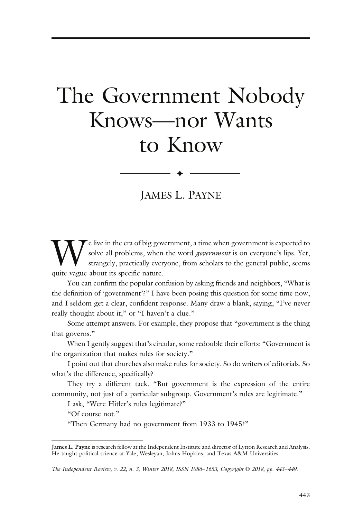# The Government Nobody Knows—nor Wants to Know

JAMES L. PAYNE

 $\blacklozenge$ 

We live in the era of big government, a time when government is expected to solve all problems, when the word *government* is on everyone's lips. Yet, strangely, practically everyone, from scholars to the general public, s solve all problems, when the word *government* is on everyone's lips. Yet, strangely, practically everyone, from scholars to the general public, seems quite vague about its specific nature.

You can confirm the popular confusion by asking friends and neighbors, "What is the definition of 'government'?" I have been posing this question for some time now, and I seldom get a clear, confident response. Many draw a blank, saying, "I've never really thought about it," or "I haven't a clue."

Some attempt answers. For example, they propose that "government is the thing that governs."

When I gently suggest that's circular, some redouble their efforts: "Government is the organization that makes rules for society."

I point out that churches also make rules for society. So do writers of editorials. So what's the difference, specifically?

They try a different tack. "But government is the expression of the entire community, not just of a particular subgroup. Government's rules are legitimate."

I ask, "Were Hitler's rules legitimate?"

"Of course not."

"Then Germany had no government from 1933 to 1945?"

James L. Payne is research fellow at the Independent Institute and director of Lytton Research and Analysis. He taught political science at Yale, Wesleyan, Johns Hopkins, and Texas A&M Universities.

The Independent Review, v. 22, n. 3, Winter 2018, ISSN 1086–1653, Copyright © 2018, pp. 443–449.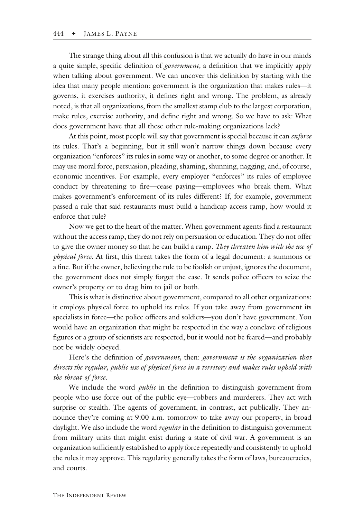The strange thing about all this confusion is that we actually do have in our minds a quite simple, specific definition of government, a definition that we implicitly apply when talking about government. We can uncover this definition by starting with the idea that many people mention: government is the organization that makes rules—it governs, it exercises authority, it defines right and wrong. The problem, as already noted, is that all organizations, from the smallest stamp club to the largest corporation, make rules, exercise authority, and define right and wrong. So we have to ask: What does government have that all these other rule-making organizations lack?

At this point, most people will say that government is special because it can enforce its rules. That's a beginning, but it still won't narrow things down because every organization "enforces" its rules in some way or another, to some degree or another. It may use moral force, persuasion, pleading, shaming, shunning, nagging, and, of course, economic incentives. For example, every employer "enforces" its rules of employee conduct by threatening to fire—cease paying—employees who break them. What makes government's enforcement of its rules different? If, for example, government passed a rule that said restaurants must build a handicap access ramp, how would it enforce that rule?

Now we get to the heart of the matter. When government agents find a restaurant without the access ramp, they do not rely on persuasion or education. They do not offer to give the owner money so that he can build a ramp. They threaten him with the use of physical force. At first, this threat takes the form of a legal document: a summons or a fine. But if the owner, believing the rule to be foolish or unjust, ignores the document, the government does not simply forget the case. It sends police officers to seize the owner's property or to drag him to jail or both.

This is what is distinctive about government, compared to all other organizations: it employs physical force to uphold its rules. If you take away from government its specialists in force—the police officers and soldiers—you don't have government. You would have an organization that might be respected in the way a conclave of religious figures or a group of scientists are respected, but it would not be feared—and probably not be widely obeyed.

Here's the definition of government, then: government is the organization that directs the regular, public use of physical force in a territory and makes rules upheld with the threat of force.

We include the word *public* in the definition to distinguish government from people who use force out of the public eye—robbers and murderers. They act with surprise or stealth. The agents of government, in contrast, act publically. They announce they're coming at 9:00 a.m. tomorrow to take away our property, in broad daylight. We also include the word *regular* in the definition to distinguish government from military units that might exist during a state of civil war. A government is an organization sufficiently established to apply force repeatedly and consistently to uphold the rules it may approve. This regularity generally takes the form of laws, bureaucracies, and courts.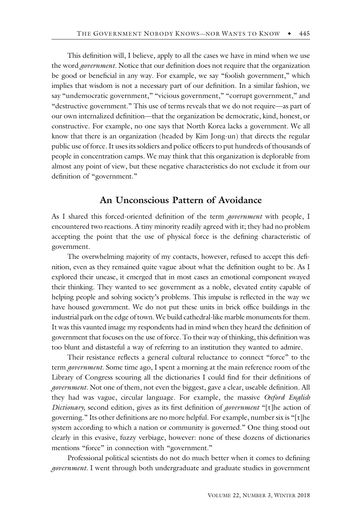This definition will, I believe, apply to all the cases we have in mind when we use the word *government*. Notice that our definition does not require that the organization be good or beneficial in any way. For example, we say "foolish government," which implies that wisdom is not a necessary part of our definition. In a similar fashion, we say "undemocratic government," "vicious government," "corrupt government," and "destructive government." This use of terms reveals that we do not require—as part of our own internalized definition—that the organization be democratic, kind, honest, or constructive. For example, no one says that North Korea lacks a government. We all know that there is an organization (headed by Kim Jong-un) that directs the regular public use of force. It uses its soldiers and police officers to put hundreds of thousands of people in concentration camps. We may think that this organization is deplorable from almost any point of view, but these negative characteristics do not exclude it from our definition of "government."

#### An Unconscious Pattern of Avoidance

As I shared this forced-oriented definition of the term *government* with people, I encountered two reactions. A tiny minority readily agreed with it; they had no problem accepting the point that the use of physical force is the defining characteristic of government.

The overwhelming majority of my contacts, however, refused to accept this definition, even as they remained quite vague about what the definition ought to be. As I explored their unease, it emerged that in most cases an emotional component swayed their thinking. They wanted to see government as a noble, elevated entity capable of helping people and solving society's problems. This impulse is reflected in the way we have housed government. We do not put these units in brick office buildings in the industrial park on the edge of town. We build cathedral-like marble monuments for them. It was this vaunted image my respondents had in mind when they heard the definition of government that focuses on the use of force. To their way of thinking, this definition was too blunt and distasteful a way of referring to an institution they wanted to admire.

Their resistance reflects a general cultural reluctance to connect "force" to the term *government*. Some time ago, I spent a morning at the main reference room of the Library of Congress scouring all the dictionaries I could find for their definitions of government. Not one of them, not even the biggest, gave a clear, useable definition. All they had was vague, circular language. For example, the massive Oxford English Dictionary, second edition, gives as its first definition of *government* "[t]he action of governing." Its other definitions are no more helpful. For example, number six is "[t]he system according to which a nation or community is governed." One thing stood out clearly in this evasive, fuzzy verbiage, however: none of these dozens of dictionaries mentions "force" in connection with "government."

Professional political scientists do not do much better when it comes to defining government. I went through both undergraduate and graduate studies in government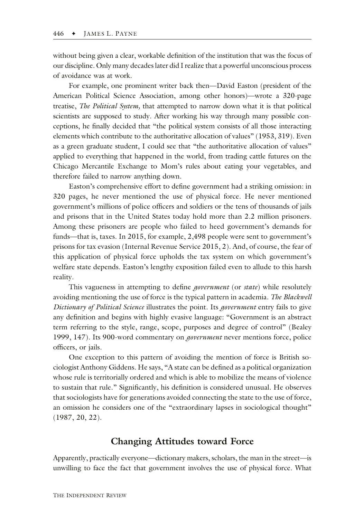without being given a clear, workable definition of the institution that was the focus of our discipline. Only many decades later did I realize that a powerful unconscious process of avoidance was at work.

For example, one prominent writer back then—David Easton (president of the American Political Science Association, among other honors)—wrote a 320-page treatise, *The Political System*, that attempted to narrow down what it is that political scientists are supposed to study. After working his way through many possible conceptions, he finally decided that "the political system consists of all those interacting elements which contribute to the authoritative allocation of values" (1953, 319). Even as a green graduate student, I could see that "the authoritative allocation of values" applied to everything that happened in the world, from trading cattle futures on the Chicago Mercantile Exchange to Mom's rules about eating your vegetables, and therefore failed to narrow anything down.

Easton's comprehensive effort to define government had a striking omission: in 320 pages, he never mentioned the use of physical force. He never mentioned government's millions of police officers and soldiers or the tens of thousands of jails and prisons that in the United States today hold more than 2.2 million prisoners. Among these prisoners are people who failed to heed government's demands for funds—that is, taxes. In 2015, for example, 2,498 people were sent to government's prisons for tax evasion (Internal Revenue Service 2015, 2). And, of course, the fear of this application of physical force upholds the tax system on which government's welfare state depends. Easton's lengthy exposition failed even to allude to this harsh reality.

This vagueness in attempting to define *government* (or *state*) while resolutely avoiding mentioning the use of force is the typical pattern in academia. The Blackwell Dictionary of Political Science illustrates the point. Its *government* entry fails to give any definition and begins with highly evasive language: "Government is an abstract term referring to the style, range, scope, purposes and degree of control" (Bealey 1999, 147). Its 900-word commentary on *government* never mentions force, police officers, or jails.

One exception to this pattern of avoiding the mention of force is British sociologist Anthony Giddens. He says, "A state can be defined as a political organization whose rule is territorially ordered and which is able to mobilize the means of violence to sustain that rule." Significantly, his definition is considered unusual. He observes that sociologists have for generations avoided connecting the state to the use of force, an omission he considers one of the "extraordinary lapses in sociological thought" (1987, 20, 22).

#### Changing Attitudes toward Force

Apparently, practically everyone—dictionary makers, scholars, the man in the street—is unwilling to face the fact that government involves the use of physical force. What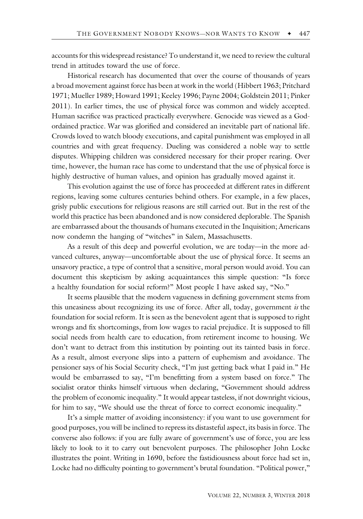accounts for this widespread resistance? To understand it, we need to review the cultural trend in attitudes toward the use of force.

Historical research has documented that over the course of thousands of years a broad movement against force has been at work in the world (Hibbert 1963; Pritchard 1971; Mueller 1989; Howard 1991; Keeley 1996; Payne 2004; Goldstein 2011; Pinker 2011). In earlier times, the use of physical force was common and widely accepted. Human sacrifice was practiced practically everywhere. Genocide was viewed as a Godordained practice. War was glorified and considered an inevitable part of national life. Crowds loved to watch bloody executions, and capital punishment was employed in all countries and with great frequency. Dueling was considered a noble way to settle disputes. Whipping children was considered necessary for their proper rearing. Over time, however, the human race has come to understand that the use of physical force is highly destructive of human values, and opinion has gradually moved against it.

This evolution against the use of force has proceeded at different rates in different regions, leaving some cultures centuries behind others. For example, in a few places, grisly public executions for religious reasons are still carried out. But in the rest of the world this practice has been abandoned and is now considered deplorable. The Spanish are embarrassed about the thousands of humans executed in the Inquisition; Americans now condemn the hanging of "witches" in Salem, Massachusetts.

As a result of this deep and powerful evolution, we are today—in the more advanced cultures, anyway—uncomfortable about the use of physical force. It seems an unsavory practice, a type of control that a sensitive, moral person would avoid. You can document this skepticism by asking acquaintances this simple question: "Is force a healthy foundation for social reform?" Most people I have asked say, "No."

It seems plausible that the modern vagueness in defining government stems from this uneasiness about recognizing its use of force. After all, today, government  $\dot{\mathbf{z}}$  the foundation for social reform. It is seen as the benevolent agent that is supposed to right wrongs and fix shortcomings, from low wages to racial prejudice. It is supposed to fill social needs from health care to education, from retirement income to housing. We don't want to detract from this institution by pointing out its tainted basis in force. As a result, almost everyone slips into a pattern of euphemism and avoidance. The pensioner says of his Social Security check, "I'm just getting back what I paid in." He would be embarrassed to say, "I'm benefitting from a system based on force." The socialist orator thinks himself virtuous when declaring, "Government should address the problem of economic inequality." It would appear tasteless, if not downright vicious, for him to say, "We should use the threat of force to correct economic inequality."

It's a simple matter of avoiding inconsistency: if you want to use government for good purposes, you will be inclined to repress its distasteful aspect, its basis in force. The converse also follows: if you are fully aware of government's use of force, you are less likely to look to it to carry out benevolent purposes. The philosopher John Locke illustrates the point. Writing in 1690, before the fastidiousness about force had set in, Locke had no difficulty pointing to government's brutal foundation. "Political power,"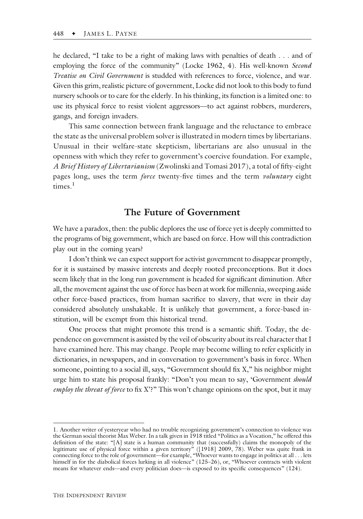he declared, "I take to be a right of making laws with penalties of death . . . and of employing the force of the community" (Locke 1962, 4). His well-known Second Treatise on Civil Government is studded with references to force, violence, and war. Given this grim, realistic picture of government, Locke did not look to this body to fund nursery schools or to care for the elderly. In his thinking, its function is a limited one: to use its physical force to resist violent aggressors—to act against robbers, murderers, gangs, and foreign invaders.

This same connection between frank language and the reluctance to embrace the state as the universal problem solver is illustrated in modern times by libertarians. Unusual in their welfare-state skepticism, libertarians are also unusual in the openness with which they refer to government's coercive foundation. For example, A Brief History of Libertarianism (Zwolinski and Tomasi 2017), a total of fifty-eight pages long, uses the term force twenty-five times and the term voluntary eight times.<sup>1</sup>

#### The Future of Government

We have a paradox, then: the public deplores the use of force yet is deeply committed to the programs of big government, which are based on force. How will this contradiction play out in the coming years?

I don't think we can expect support for activist government to disappear promptly, for it is sustained by massive interests and deeply rooted preconceptions. But it does seem likely that in the long run government is headed for significant diminution. After all, the movement against the use of force has been at work for millennia, sweeping aside other force-based practices, from human sacrifice to slavery, that were in their day considered absolutely unshakable. It is unlikely that government, a force-based institution, will be exempt from this historical trend.

One process that might promote this trend is a semantic shift. Today, the dependence on government is assisted by the veil of obscurity about its real character that I have examined here. This may change. People may become willing to refer explicitly in dictionaries, in newspapers, and in conversation to government's basis in force. When someone, pointing to a social ill, says, "Government should fix X," his neighbor might urge him to state his proposal frankly: "Don't you mean to say, 'Government *should* employ the threat of force to fix  $X$ '?" This won't change opinions on the spot, but it may

<sup>1.</sup> Another writer of yesteryear who had no trouble recognizing government's connection to violence was the German social theorist Max Weber. In a talk given in 1918 titled "Politics as a Vocation," he offered this definition of the state: "[A] state is a human community that (successfully) claims the monopoly of the legitimate use of physical force within a given territory" ([1918] 2009, 78). Weber was quite frank in connecting force to the role of government—for example, "Whoever wants to engage in politics at all . . . lets himself in for the diabolical forces lurking in all violence" (125–26), or, "Whoever contracts with violent means for whatever ends—and every politician does—is exposed to its specific consequences" (124).